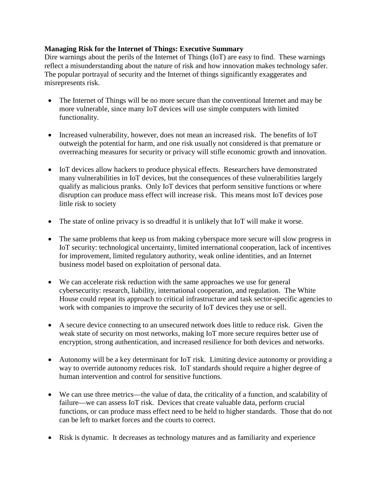### **Managing Risk for the Internet of Things: Executive Summary**

Dire warnings about the perils of the Internet of Things (IoT) are easy to find. These warnings reflect a misunderstanding about the nature of risk and how innovation makes technology safer. The popular portrayal of security and the Internet of things significantly exaggerates and misrepresents risk.

- The Internet of Things will be no more secure than the conventional Internet and may be more vulnerable, since many IoT devices will use simple computers with limited functionality.
- Increased vulnerability, however, does not mean an increased risk. The benefits of IoT outweigh the potential for harm, and one risk usually not considered is that premature or overreaching measures for security or privacy will stifle economic growth and innovation.
- IoT devices allow hackers to produce physical effects. Researchers have demonstrated many vulnerabilities in IoT devices, but the consequences of these vulnerabilities largely qualify as malicious pranks. Only IoT devices that perform sensitive functions or where disruption can produce mass effect will increase risk. This means most IoT devices pose little risk to society
- The state of online privacy is so dreadful it is unlikely that IoT will make it worse.
- The same problems that keep us from making cyberspace more secure will slow progress in IoT security: technological uncertainty, limited international cooperation, lack of incentives for improvement, limited regulatory authority, weak online identities, and an Internet business model based on exploitation of personal data.
- We can accelerate risk reduction with the same approaches we use for general cybersecurity: research, liability, international cooperation, and regulation. The White House could repeat its approach to critical infrastructure and task sector-specific agencies to work with companies to improve the security of IoT devices they use or sell.
- A secure device connecting to an unsecured network does little to reduce risk. Given the weak state of security on most networks, making IoT more secure requires better use of encryption, strong authentication, and increased resilience for both devices and networks.
- Autonomy will be a key determinant for IoT risk. Limiting device autonomy or providing a way to override autonomy reduces risk. IoT standards should require a higher degree of human intervention and control for sensitive functions.
- We can use three metrics—the value of data, the criticality of a function, and scalability of failure—we can assess IoT risk. Devices that create valuable data, perform crucial functions, or can produce mass effect need to be held to higher standards. Those that do not can be left to market forces and the courts to correct.
- Risk is dynamic. It decreases as technology matures and as familiarity and experience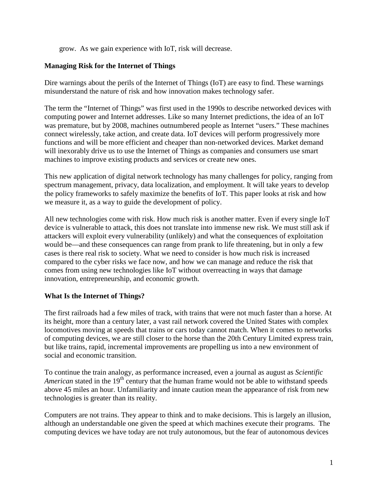grow. As we gain experience with IoT, risk will decrease.

# **Managing Risk for the Internet of Things**

Dire warnings about the perils of the Internet of Things (IoT) are easy to find. These warnings misunderstand the nature of risk and how innovation makes technology safer.

The term the "Internet of Things" was first used in the 1990s to describe networked devices with computing power and Internet addresses. Like so many Internet predictions, the idea of an IoT was premature, but by 2008, machines outnumbered people as Internet "users." These machines connect wirelessly, take action, and create data. IoT devices will perform progressively more functions and will be more efficient and cheaper than non-networked devices. Market demand will inexorably drive us to use the Internet of Things as companies and consumers use smart machines to improve existing products and services or create new ones.

This new application of digital network technology has many challenges for policy, ranging from spectrum management, privacy, data localization, and employment. It will take years to develop the policy frameworks to safely maximize the benefits of IoT. This paper looks at risk and how we measure it, as a way to guide the development of policy.

All new technologies come with risk. How much risk is another matter. Even if every single IoT device is vulnerable to attack, this does not translate into immense new risk. We must still ask if attackers will exploit every vulnerability (unlikely) and what the consequences of exploitation would be—and these consequences can range from prank to life threatening, but in only a few cases is there real risk to society. What we need to consider is how much risk is increased compared to the cyber risks we face now, and how we can manage and reduce the risk that comes from using new technologies like IoT without overreacting in ways that damage innovation, entrepreneurship, and economic growth.

# **What Is the Internet of Things?**

The first railroads had a few miles of track, with trains that were not much faster than a horse. At its height, more than a century later, a vast rail network covered the United States with complex locomotives moving at speeds that trains or cars today cannot match. When it comes to networks of computing devices, we are still closer to the horse than the 20th Century Limited express train, but like trains, rapid, incremental improvements are propelling us into a new environment of social and economic transition.

To continue the train analogy, as performance increased, even a journal as august as *Scientific American* stated in the 19<sup>th</sup> century that the human frame would not be able to withstand speeds above 45 miles an hour. Unfamiliarity and innate caution mean the appearance of risk from new technologies is greater than its reality.

Computers are not trains. They appear to think and to make decisions. This is largely an illusion, although an understandable one given the speed at which machines execute their programs. The computing devices we have today are not truly autonomous, but the fear of autonomous devices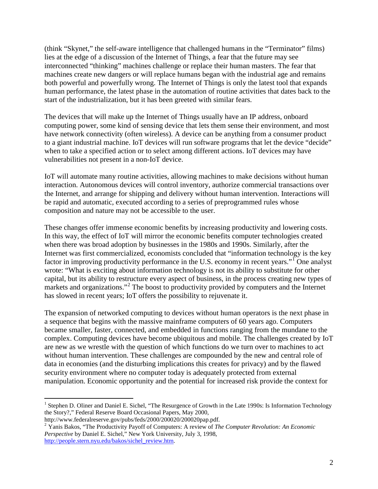(think "Skynet," the self-aware intelligence that challenged humans in the "Terminator" films) lies at the edge of a discussion of the Internet of Things, a fear that the future may see interconnected "thinking" machines challenge or replace their human masters. The fear that machines create new dangers or will replace humans began with the industrial age and remains both powerful and powerfully wrong. The Internet of Things is only the latest tool that expands human performance, the latest phase in the automation of routine activities that dates back to the start of the industrialization, but it has been greeted with similar fears.

The devices that will make up the Internet of Things usually have an IP address, onboard computing power, some kind of sensing device that lets them sense their environment, and most have network connectivity (often wireless). A device can be anything from a consumer product to a giant industrial machine. IoT devices will run software programs that let the device "decide" when to take a specified action or to select among different actions. IoT devices may have vulnerabilities not present in a non-IoT device.

IoT will automate many routine activities, allowing machines to make decisions without human interaction. Autonomous devices will control inventory, authorize commercial transactions over the Internet, and arrange for shipping and delivery without human intervention. Interactions will be rapid and automatic, executed according to a series of preprogrammed rules whose composition and nature may not be accessible to the user.

These changes offer immense economic benefits by increasing productivity and lowering costs. In this way, the effect of IoT will mirror the economic benefits computer technologies created when there was broad adoption by businesses in the 1980s and 1990s. Similarly, after the Internet was first commercialized, economists concluded that "information technology is the key factor in improving productivity performance in the U.S. economy in recent years."<sup>[1](#page-2-0)</sup> One analyst wrote: "What is exciting about information technology is not its ability to substitute for other capital, but its ability to restructure every aspect of business, in the process creating new types of markets and organizations."<sup>[2](#page-2-1)</sup> The boost to productivity provided by computers and the Internet has slowed in recent years; IoT offers the possibility to rejuvenate it.

The expansion of networked computing to devices without human operators is the next phase in a sequence that begins with the massive mainframe computers of 60 years ago. Computers became smaller, faster, connected, and embedded in functions ranging from the mundane to the complex. Computing devices have become ubiquitous and mobile. The challenges created by IoT are new as we wrestle with the question of which functions do we turn over to machines to act without human intervention. These challenges are compounded by the new and central role of data in economies (and the disturbing implications this creates for privacy) and by the flawed security environment where no computer today is adequately protected from external manipulation. Economic opportunity and the potential for increased risk provide the context for

<span id="page-2-0"></span><sup>&</sup>lt;sup>1</sup> Stephen D. Oliner and Daniel E. Sichel, "The Resurgence of Growth in the Late 1990s: Is Information Technology the Story?," Federal Reserve Board Occasional Papers, May 2000,<br>http://www.federalreserve.gov/pubs/feds/2000/200020/200020pap.pdf.

<span id="page-2-1"></span><sup>&</sup>lt;sup>2</sup> Yanis Bakos, "The Productivity Payoff of Computers: A review of *The Computer Revolution: An Economic Perspective* by Daniel E. Sichel," New York University, July 3, 1998, [http://people.stern.nyu.edu/bakos/sichel\\_review.htm.](http://people.stern.nyu.edu/bakos/sichel_review.htm)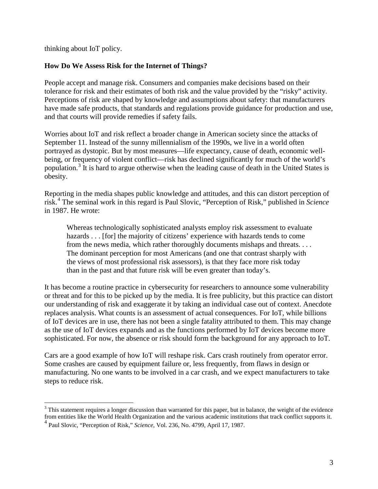thinking about IoT policy.

# **How Do We Assess Risk for the Internet of Things?**

People accept and manage risk. Consumers and companies make decisions based on their tolerance for risk and their estimates of both risk and the value provided by the "risky" activity. Perceptions of risk are shaped by knowledge and assumptions about safety: that manufacturers have made safe products, that standards and regulations provide guidance for production and use, and that courts will provide remedies if safety fails.

Worries about IoT and risk reflect a broader change in American society since the attacks of September 11. Instead of the sunny millennialism of the 1990s, we live in a world often portrayed as dystopic. But by most measures—life expectancy, cause of death, economic wellbeing, or frequency of violent conflict—risk has declined significantly for much of the world's population.[3](#page-3-0) It is hard to argue otherwise when the leading cause of death in the United States is obesity.

Reporting in the media shapes public knowledge and attitudes, and this can distort perception of risk.[4](#page-3-1) The seminal work in this regard is Paul Slovic, "Perception of Risk," published in *Science* in 1987. He wrote:

Whereas technologically sophisticated analysts employ risk assessment to evaluate hazards . . . [for] the majority of citizens' experience with hazards tends to come from the news media, which rather thoroughly documents mishaps and threats. . . . The dominant perception for most Americans (and one that contrast sharply with the views of most professional risk assessors), is that they face more risk today than in the past and that future risk will be even greater than today's.

It has become a routine practice in cybersecurity for researchers to announce some vulnerability or threat and for this to be picked up by the media. It is free publicity, but this practice can distort our understanding of risk and exaggerate it by taking an individual case out of context. Anecdote replaces analysis. What counts is an assessment of actual consequences. For IoT, while billions of IoT devices are in use, there has not been a single fatality attributed to them. This may change as the use of IoT devices expands and as the functions performed by IoT devices become more sophisticated. For now, the absence or risk should form the background for any approach to IoT.

Cars are a good example of how IoT will reshape risk. Cars crash routinely from operator error. Some crashes are caused by equipment failure or, less frequently, from flaws in design or manufacturing. No one wants to be involved in a car crash, and we expect manufacturers to take steps to reduce risk.

<span id="page-3-1"></span><span id="page-3-0"></span> $3$  This statement requires a longer discussion than warranted for this paper, but in balance, the weight of the evidence from entities like the World Health Organization and the various academic institutions that track conflict supports it. <sup>4</sup> Paul Slovic, "Perception of Risk," *Science*, Vol. 236, No. 4799, April 17, 1987.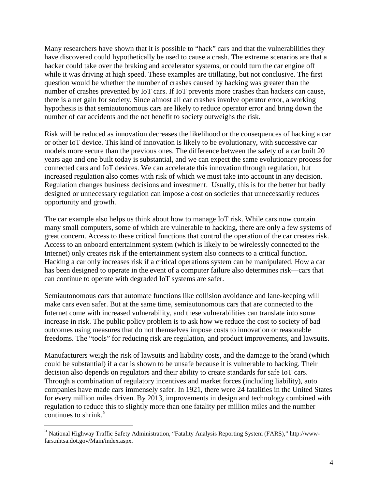Many researchers have shown that it is possible to "hack" cars and that the vulnerabilities they have discovered could hypothetically be used to cause a crash. The extreme scenarios are that a hacker could take over the braking and accelerator systems, or could turn the car engine off while it was driving at high speed. These examples are titillating, but not conclusive. The first question would be whether the number of crashes caused by hacking was greater than the number of crashes prevented by IoT cars. If IoT prevents more crashes than hackers can cause, there is a net gain for society. Since almost all car crashes involve operator error, a working hypothesis is that semiautonomous cars are likely to reduce operator error and bring down the number of car accidents and the net benefit to society outweighs the risk.

Risk will be reduced as innovation decreases the likelihood or the consequences of hacking a car or other IoT device. This kind of innovation is likely to be evolutionary, with successive car models more secure than the previous ones. The difference between the safety of a car built 20 years ago and one built today is substantial, and we can expect the same evolutionary process for connected cars and IoT devices. We can accelerate this innovation through regulation, but increased regulation also comes with risk of which we must take into account in any decision. Regulation changes business decisions and investment. Usually, this is for the better but badly designed or unnecessary regulation can impose a cost on societies that unnecessarily reduces opportunity and growth.

The car example also helps us think about how to manage IoT risk. While cars now contain many small computers, some of which are vulnerable to hacking, there are only a few systems of great concern. Access to these critical functions that control the operation of the car creates risk. Access to an onboard entertainment system (which is likely to be wirelessly connected to the Internet) only creates risk if the entertainment system also connects to a critical function. Hacking a car only increases risk if a critical operations system can be manipulated. How a car has been designed to operate in the event of a computer failure also determines risk—cars that can continue to operate with degraded IoT systems are safer.

Semiautonomous cars that automate functions like collision avoidance and lane-keeping will make cars even safer. But at the same time, semiautonomous cars that are connected to the Internet come with increased vulnerability, and these vulnerabilities can translate into some increase in risk. The public policy problem is to ask how we reduce the cost to society of bad outcomes using measures that do not themselves impose costs to innovation or reasonable freedoms. The "tools" for reducing risk are regulation, and product improvements, and lawsuits.

Manufacturers weigh the risk of lawsuits and liability costs, and the damage to the brand (which could be substantial) if a car is shown to be unsafe because it is vulnerable to hacking. Their decision also depends on regulators and their ability to create standards for safe IoT cars. Through a combination of regulatory incentives and market forces (including liability), auto companies have made cars immensely safer. In 1921, there were 24 fatalities in the United States for every million miles driven. By 2013, improvements in design and technology combined with regulation to reduce this to slightly more than one fatality per million miles and the number continues to shrink. $5$ 

<span id="page-4-0"></span> <sup>5</sup> National Highway Traffic Safety Administration, "Fatality Analysis Reporting System (FARS)," http://wwwfars.nhtsa.dot.gov/Main/index.aspx.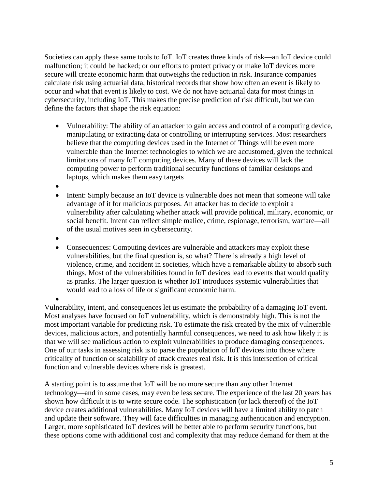Societies can apply these same tools to IoT. IoT creates three kinds of risk—an IoT device could malfunction; it could be hacked; or our efforts to protect privacy or make IoT devices more secure will create economic harm that outweighs the reduction in risk. Insurance companies calculate risk using actuarial data, historical records that show how often an event is likely to occur and what that event is likely to cost. We do not have actuarial data for most things in cybersecurity, including IoT. This makes the precise prediction of risk difficult, but we can define the factors that shape the risk equation:

- Vulnerability: The ability of an attacker to gain access and control of a computing device, manipulating or extracting data or controlling or interrupting services. Most researchers believe that the computing devices used in the Internet of Things will be even more vulnerable than the Internet technologies to which we are accustomed, given the technical limitations of many IoT computing devices. Many of these devices will lack the computing power to perform traditional security functions of familiar desktops and laptops, which makes them easy targets
- •
- Intent: Simply because an IoT device is vulnerable does not mean that someone will take advantage of it for malicious purposes. An attacker has to decide to exploit a vulnerability after calculating whether attack will provide political, military, economic, or social benefit. Intent can reflect simple malice, crime, espionage, terrorism, warfare—all of the usual motives seen in cybersecurity.
- •
- Consequences: Computing devices are vulnerable and attackers may exploit these vulnerabilities, but the final question is, so what? There is already a high level of violence, crime, and accident in societies, which have a remarkable ability to absorb such things. Most of the vulnerabilities found in IoT devices lead to events that would qualify as pranks. The larger question is whether IoT introduces systemic vulnerabilities that would lead to a loss of life or significant economic harm.

• Vulnerability, intent, and consequences let us estimate the probability of a damaging IoT event. Most analyses have focused on IoT vulnerability, which is demonstrably high. This is not the most important variable for predicting risk. To estimate the risk created by the mix of vulnerable devices, malicious actors, and potentially harmful consequences, we need to ask how likely it is that we will see malicious action to exploit vulnerabilities to produce damaging consequences. One of our tasks in assessing risk is to parse the population of IoT devices into those where criticality of function or scalability of attack creates real risk. It is this intersection of critical function and vulnerable devices where risk is greatest.

A starting point is to assume that IoT will be no more secure than any other Internet technology—and in some cases, may even be less secure. The experience of the last 20 years has shown how difficult it is to write secure code. The sophistication (or lack thereof) of the IoT device creates additional vulnerabilities. Many IoT devices will have a limited ability to patch and update their software. They will face difficulties in managing authentication and encryption. Larger, more sophisticated IoT devices will be better able to perform security functions, but these options come with additional cost and complexity that may reduce demand for them at the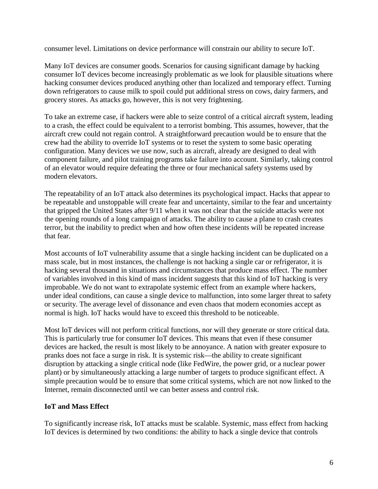consumer level. Limitations on device performance will constrain our ability to secure IoT.

Many IoT devices are consumer goods. Scenarios for causing significant damage by hacking consumer IoT devices become increasingly problematic as we look for plausible situations where hacking consumer devices produced anything other than localized and temporary effect. Turning down refrigerators to cause milk to spoil could put additional stress on cows, dairy farmers, and grocery stores. As attacks go, however, this is not very frightening.

To take an extreme case, if hackers were able to seize control of a critical aircraft system, leading to a crash, the effect could be equivalent to a terrorist bombing. This assumes, however, that the aircraft crew could not regain control. A straightforward precaution would be to ensure that the crew had the ability to override IoT systems or to reset the system to some basic operating configuration. Many devices we use now, such as aircraft, already are designed to deal with component failure, and pilot training programs take failure into account. Similarly, taking control of an elevator would require defeating the three or four mechanical safety systems used by modern elevators.

The repeatability of an IoT attack also determines its psychological impact. Hacks that appear to be repeatable and unstoppable will create fear and uncertainty, similar to the fear and uncertainty that gripped the United States after 9/11 when it was not clear that the suicide attacks were not the opening rounds of a long campaign of attacks. The ability to cause a plane to crash creates terror, but the inability to predict when and how often these incidents will be repeated increase that fear.

Most accounts of IoT vulnerability assume that a single hacking incident can be duplicated on a mass scale, but in most instances, the challenge is not hacking a single car or refrigerator, it is hacking several thousand in situations and circumstances that produce mass effect. The number of variables involved in this kind of mass incident suggests that this kind of IoT hacking is very improbable. We do not want to extrapolate systemic effect from an example where hackers, under ideal conditions, can cause a single device to malfunction, into some larger threat to safety or security. The average level of dissonance and even chaos that modern economies accept as normal is high. IoT hacks would have to exceed this threshold to be noticeable.

Most IoT devices will not perform critical functions, nor will they generate or store critical data. This is particularly true for consumer IoT devices. This means that even if these consumer devices are hacked, the result is most likely to be annoyance. A nation with greater exposure to pranks does not face a surge in risk. It is systemic risk—the ability to create significant disruption by attacking a single critical node (like FedWire, the power grid, or a nuclear power plant) or by simultaneously attacking a large number of targets to produce significant effect. A simple precaution would be to ensure that some critical systems, which are not now linked to the Internet, remain disconnected until we can better assess and control risk.

# **IoT and Mass Effect**

To significantly increase risk, IoT attacks must be scalable. Systemic, mass effect from hacking IoT devices is determined by two conditions: the ability to hack a single device that controls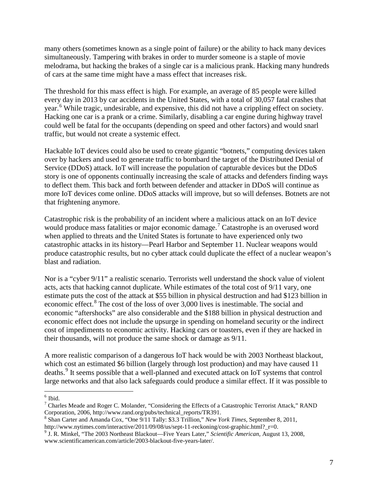many others (sometimes known as a single point of failure) or the ability to hack many devices simultaneously. Tampering with brakes in order to murder someone is a staple of movie melodrama, but hacking the brakes of a single car is a malicious prank. Hacking many hundreds of cars at the same time might have a mass effect that increases risk.

The threshold for this mass effect is high. For example, an average of 85 people were killed every day in 2013 by car accidents in the United States, with a total of 30,057 fatal crashes that year.<sup>[6](#page-7-0)</sup> While tragic, undesirable, and expensive, this did not have a crippling effect on society. Hacking one car is a prank or a crime. Similarly, disabling a car engine during highway travel could well be fatal for the occupants (depending on speed and other factors) and would snarl traffic, but would not create a systemic effect.

Hackable IoT devices could also be used to create gigantic "botnets," computing devices taken over by hackers and used to generate traffic to bombard the target of the Distributed Denial of Service (DDoS) attack. IoT will increase the population of capturable devices but the DDoS story is one of opponents continually increasing the scale of attacks and defenders finding ways to deflect them. This back and forth between defender and attacker in DDoS will continue as more IoT devices come online. DDoS attacks will improve, but so will defenses. Botnets are not that frightening anymore.

Catastrophic risk is the probability of an incident where a malicious attack on an IoT device would produce mass fatalities or major economic damage.<sup>[7](#page-7-1)</sup> Catastrophe is an overused word when applied to threats and the United States is fortunate to have experienced only two catastrophic attacks in its history—Pearl Harbor and September 11. Nuclear weapons would produce catastrophic results, but no cyber attack could duplicate the effect of a nuclear weapon's blast and radiation.

Nor is a "cyber 9/11" a realistic scenario. Terrorists well understand the shock value of violent acts, acts that hacking cannot duplicate. While estimates of the total cost of 9/11 vary, one estimate puts the cost of the attack at \$55 billion in physical destruction and had \$123 billion in economic effect.<sup>[8](#page-7-2)</sup> The cost of the loss of over 3,000 lives is inestimable. The social and economic "aftershocks" are also considerable and the \$188 billion in physical destruction and economic effect does not include the upsurge in spending on homeland security or the indirect cost of impediments to economic activity. Hacking cars or toasters, even if they are hacked in their thousands, will not produce the same shock or damage as 9/11.

A more realistic comparison of a dangerous IoT hack would be with 2003 Northeast blackout, which cost an estimated \$6 billion (largely through lost production) and may have caused 11 deaths.<sup>[9](#page-7-3)</sup> It seems possible that a well-planned and executed attack on IoT systems that control large networks and that also lack safeguards could produce a similar effect. If it was possible to

<span id="page-7-0"></span> $^6$  Ibid.

<span id="page-7-1"></span><sup>&</sup>lt;sup>7</sup> Charles Meade and Roger C. Molander, "Considering the Effects of a Catastrophic Terrorist Attack," RAND Corporation, 2006, http://www.rand.org/pubs/technical reports/TR391.

<span id="page-7-2"></span><sup>&</sup>lt;sup>8</sup> Shan Carter and Amanda Cox, "One  $9/11$  Tally: \$3.3 Trillion," *New York Times*, September 8, 2011, http://www.nytimes.com/interactive/2011/09/08/us/sept-11-reckoning/cost-graphic.html? r=0.

<span id="page-7-3"></span><sup>&</sup>lt;sup>9</sup> J. R. Minkel, "The 2003 Northeast Blackout—Five Years Later," *Scientific American*, August 13, 2008, www.scientificamerican.com/article/2003-blackout-five-years-later/.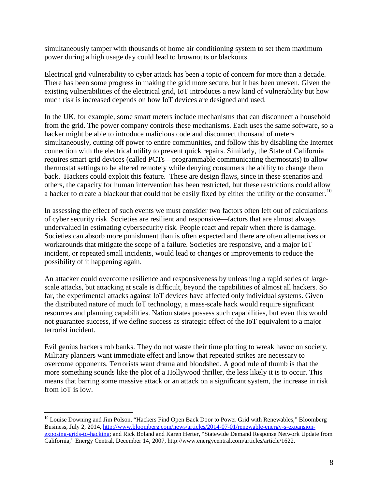simultaneously tamper with thousands of home air conditioning system to set them maximum power during a high usage day could lead to brownouts or blackouts.

Electrical grid vulnerability to cyber attack has been a topic of concern for more than a decade. There has been some progress in making the grid more secure, but it has been uneven. Given the existing vulnerabilities of the electrical grid, IoT introduces a new kind of vulnerability but how much risk is increased depends on how IoT devices are designed and used.

In the UK, for example, some smart meters include mechanisms that can disconnect a household from the grid. The power company controls these mechanisms. Each uses the same software, so a hacker might be able to introduce malicious code and disconnect thousand of meters simultaneously, cutting off power to entire communities, and follow this by disabling the Internet connection with the electrical utility to prevent quick repairs. Similarly, the State of California requires smart grid devices (called PCTs—programmable communicating thermostats) to allow thermostat settings to be altered remotely while denying consumers the ability to change them back. Hackers could exploit this feature. These are design flaws, since in these scenarios and others, the capacity for human intervention has been restricted, but these restrictions could allow a hacker to create a blackout that could not be easily fixed by either the utility or the consumer.<sup>[10](#page-8-0)</sup>

In assessing the effect of such events we must consider two factors often left out of calculations of cyber security risk. Societies are resilient and responsive—factors that are almost always undervalued in estimating cybersecurity risk. People react and repair when there is damage. Societies can absorb more punishment than is often expected and there are often alternatives or workarounds that mitigate the scope of a failure. Societies are responsive, and a major IoT incident, or repeated small incidents, would lead to changes or improvements to reduce the possibility of it happening again.

An attacker could overcome resilience and responsiveness by unleashing a rapid series of largescale attacks, but attacking at scale is difficult, beyond the capabilities of almost all hackers. So far, the experimental attacks against IoT devices have affected only individual systems. Given the distributed nature of much IoT technology, a mass-scale hack would require significant resources and planning capabilities. Nation states possess such capabilities, but even this would not guarantee success, if we define success as strategic effect of the IoT equivalent to a major terrorist incident.

Evil genius hackers rob banks. They do not waste their time plotting to wreak havoc on society. Military planners want immediate effect and know that repeated strikes are necessary to overcome opponents. Terrorists want drama and bloodshed. A good rule of thumb is that the more something sounds like the plot of a Hollywood thriller, the less likely it is to occur. This means that barring some massive attack or an attack on a significant system, the increase in risk from IoT is low.

<span id="page-8-0"></span><sup>&</sup>lt;sup>10</sup> Louise Downing and Jim Polson, "Hackers Find Open Back Door to Power Grid with Renewables," Bloomberg Business, July 2, 2014[, http://www.bloomberg.com/news/articles/2014-07-01/renewable-energy-s-expansion](http://www.bloomberg.com/news/articles/2014-07-01/renewable-energy-s-expansion-exposing-grids-to-hacking)[exposing-grids-to-hacking;](http://www.bloomberg.com/news/articles/2014-07-01/renewable-energy-s-expansion-exposing-grids-to-hacking) and Rick Boland and Karen Herter, "Statewide Demand Response Network Update from California," Energy Central, December 14, 2007, http://www.energycentral.com/articles/article/1622.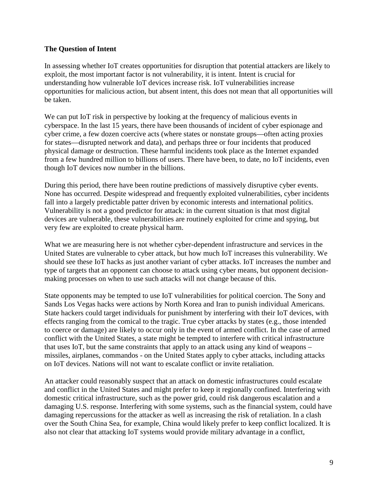### **The Question of Intent**

In assessing whether IoT creates opportunities for disruption that potential attackers are likely to exploit, the most important factor is not vulnerability, it is intent. Intent is crucial for understanding how vulnerable IoT devices increase risk. IoT vulnerabilities increase opportunities for malicious action, but absent intent, this does not mean that all opportunities will be taken.

We can put IoT risk in perspective by looking at the frequency of malicious events in cyberspace. In the last 15 years, there have been thousands of incident of cyber espionage and cyber crime, a few dozen coercive acts (where states or nonstate groups—often acting proxies for states—disrupted network and data), and perhaps three or four incidents that produced physical damage or destruction. These harmful incidents took place as the Internet expanded from a few hundred million to billions of users. There have been, to date, no IoT incidents, even though IoT devices now number in the billions.

During this period, there have been routine predictions of massively disruptive cyber events. None has occurred. Despite widespread and frequently exploited vulnerabilities, cyber incidents fall into a largely predictable patter driven by economic interests and international politics. Vulnerability is not a good predictor for attack: in the current situation is that most digital devices are vulnerable, these vulnerabilities are routinely exploited for crime and spying, but very few are exploited to create physical harm.

What we are measuring here is not whether cyber-dependent infrastructure and services in the United States are vulnerable to cyber attack, but how much IoT increases this vulnerability. We should see these IoT hacks as just another variant of cyber attacks. IoT increases the number and type of targets that an opponent can choose to attack using cyber means, but opponent decisionmaking processes on when to use such attacks will not change because of this.

State opponents may be tempted to use IoT vulnerabilities for political coercion. The Sony and Sands Los Vegas hacks were actions by North Korea and Iran to punish individual Americans. State hackers could target individuals for punishment by interfering with their IoT devices, with effects ranging from the comical to the tragic. True cyber attacks by states (e.g., those intended to coerce or damage) are likely to occur only in the event of armed conflict. In the case of armed conflict with the United States, a state might be tempted to interfere with critical infrastructure that uses IoT, but the same constraints that apply to an attack using any kind of weapons – missiles, airplanes, commandos - on the United States apply to cyber attacks, including attacks on IoT devices. Nations will not want to escalate conflict or invite retaliation.

An attacker could reasonably suspect that an attack on domestic infrastructures could escalate and conflict in the United States and might prefer to keep it regionally confined. Interfering with domestic critical infrastructure, such as the power grid, could risk dangerous escalation and a damaging U.S. response. Interfering with some systems, such as the financial system, could have damaging repercussions for the attacker as well as increasing the risk of retaliation. In a clash over the South China Sea, for example, China would likely prefer to keep conflict localized. It is also not clear that attacking IoT systems would provide military advantage in a conflict,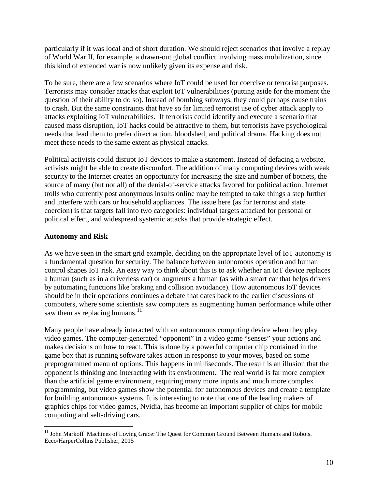particularly if it was local and of short duration. We should reject scenarios that involve a replay of World War II, for example, a drawn-out global conflict involving mass mobilization, since this kind of extended war is now unlikely given its expense and risk.

To be sure, there are a few scenarios where IoT could be used for coercive or terrorist purposes. Terrorists may consider attacks that exploit IoT vulnerabilities (putting aside for the moment the question of their ability to do so). Instead of bombing subways, they could perhaps cause trains to crash. But the same constraints that have so far limited terrorist use of cyber attack apply to attacks exploiting IoT vulnerabilities. If terrorists could identify and execute a scenario that caused mass disruption, IoT hacks could be attractive to them, but terrorists have psychological needs that lead them to prefer direct action, bloodshed, and political drama. Hacking does not meet these needs to the same extent as physical attacks.

Political activists could disrupt IoT devices to make a statement. Instead of defacing a website, activists might be able to create discomfort. The addition of many computing devices with weak security to the Internet creates an opportunity for increasing the size and number of botnets, the source of many (but not all) of the denial-of-service attacks favored for political action. Internet trolls who currently post anonymous insults online may be tempted to take things a step further and interfere with cars or household appliances. The issue here (as for terrorist and state coercion) is that targets fall into two categories: individual targets attacked for personal or political effect, and widespread systemic attacks that provide strategic effect.

# **Autonomy and Risk**

As we have seen in the smart grid example, deciding on the appropriate level of IoT autonomy is a fundamental question for security. The balance between autonomous operation and human control shapes IoT risk. An easy way to think about this is to ask whether an IoT device replaces a human (such as in a driverless car) or augments a human (as with a smart car that helps drivers by automating functions like braking and collision avoidance). How autonomous IoT devices should be in their operations continues a debate that dates back to the earlier discussions of computers, where some scientists saw computers as augmenting human performance while other saw them as replacing humans. $^{11}$  $^{11}$  $^{11}$ 

Many people have already interacted with an autonomous computing device when they play video games. The computer-generated "opponent" in a video game "senses" your actions and makes decisions on how to react. This is done by a powerful computer chip contained in the game box that is running software takes action in response to your moves, based on some preprogrammed menu of options. This happens in milliseconds. The result is an illusion that the opponent is thinking and interacting with its environment. The real world is far more complex than the artificial game environment, requiring many more inputs and much more complex programming, but video games show the potential for autonomous devices and create a template for building autonomous systems. It is interesting to note that one of the leading makers of graphics chips for video games, Nvidia, has become an important supplier of chips for mobile computing and self-driving cars.

<span id="page-10-0"></span><sup>&</sup>lt;sup>11</sup> John Markoff Machines of Loving Grace: The Quest for Common Ground Between Humans and Robots, Ecco/HarperCollins Publisher, 2015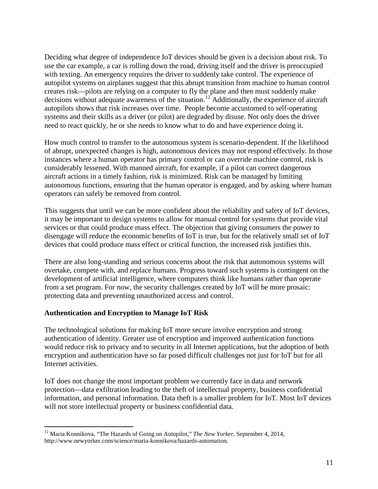Deciding what degree of independence IoT devices should be given is a decision about risk. To use the car example, a car is rolling down the road, driving itself and the driver is preoccupied with texting. An emergency requires the driver to suddenly take control. The experience of autopilot systems on airplanes suggest that this abrupt transition from machine to human control creates risk—pilots are relying on a computer to fly the plane and then must suddenly make decisions without adequate awareness of the situation.[12](#page-11-0) Additionally, the experience of aircraft autopilots shows that risk increases over time. People become accustomed to self-operating systems and their skills as a driver (or pilot) are degraded by disuse. Not only does the driver need to react quickly, he or she needs to know what to do and have experience doing it.

How much control to transfer to the autonomous system is scenario-dependent. If the likelihood of abrupt, unexpected changes is high, autonomous devices may not respond effectively. In those instances where a human operator has primary control or can override machine control, risk is considerably lessened. With manned aircraft, for example, if a pilot can correct dangerous aircraft actions in a timely fashion, risk is minimized. Risk can be managed by limiting autonomous functions, ensuring that the human operator is engaged, and by asking where human operators can safely be removed from control.

This suggests that until we can be more confident about the reliability and safety of IoT devices, it may be important to design systems to allow for manual control for systems that provide vital services or that could produce mass effect. The objection that giving consumers the power to disengage will reduce the economic benefits of IoT is true, but for the relatively small set of IoT devices that could produce mass effect or critical function, the increased risk justifies this.

There are also long-standing and serious concerns about the risk that autonomous systems will overtake, compete with, and replace humans. Progress toward such systems is contingent on the development of artificial intelligence, where computers think like humans rather than operate from a set program. For now, the security challenges created by IoT will be more prosaic: protecting data and preventing unauthorized access and control.

#### **Authentication and Encryption to Manage IoT Risk**

The technological solutions for making IoT more secure involve encryption and strong authentication of identity. Greater use of encryption and improved authentication functions would reduce risk to privacy and to security in all Internet applications, but the adoption of both encryption and authentication have so far posed difficult challenges not just for IoT but for all Internet activities.

IoT does not change the most important problem we currently face in data and network protection—data exfiltration leading to the theft of intellectual property, business confidential information, and personal information. Data theft is a smaller problem for IoT. Most IoT devices will not store intellectual property or business confidential data.

<span id="page-11-0"></span><sup>&</sup>lt;sup>12</sup> Maria Konnikova, "The Hazards of Going on Autopilot," *The New Yorker*, September 4, 2014, http://www.newyorker.com/science/maria-konnikova/hazards-automation.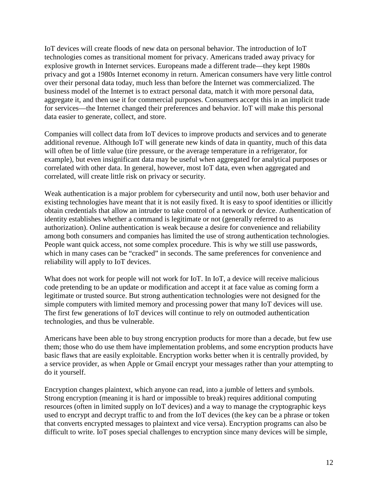IoT devices will create floods of new data on personal behavior. The introduction of IoT technologies comes as transitional moment for privacy. Americans traded away privacy for explosive growth in Internet services. Europeans made a different trade—they kept 1980s privacy and got a 1980s Internet economy in return. American consumers have very little control over their personal data today, much less than before the Internet was commercialized. The business model of the Internet is to extract personal data, match it with more personal data, aggregate it, and then use it for commercial purposes. Consumers accept this in an implicit trade for services—the Internet changed their preferences and behavior. IoT will make this personal data easier to generate, collect, and store.

Companies will collect data from IoT devices to improve products and services and to generate additional revenue. Although IoT will generate new kinds of data in quantity, much of this data will often be of little value (tire pressure, or the average temperature in a refrigerator, for example), but even insignificant data may be useful when aggregated for analytical purposes or correlated with other data. In general, however, most IoT data, even when aggregated and correlated, will create little risk on privacy or security.

Weak authentication is a major problem for cybersecurity and until now, both user behavior and existing technologies have meant that it is not easily fixed. It is easy to spoof identities or illicitly obtain credentials that allow an intruder to take control of a network or device. Authentication of identity establishes whether a command is legitimate or not (generally referred to as authorization). Online authentication is weak because a desire for convenience and reliability among both consumers and companies has limited the use of strong authentication technologies. People want quick access, not some complex procedure. This is why we still use passwords, which in many cases can be "cracked" in seconds. The same preferences for convenience and reliability will apply to IoT devices.

What does not work for people will not work for IoT. In IoT, a device will receive malicious code pretending to be an update or modification and accept it at face value as coming form a legitimate or trusted source. But strong authentication technologies were not designed for the simple computers with limited memory and processing power that many IoT devices will use. The first few generations of IoT devices will continue to rely on outmoded authentication technologies, and thus be vulnerable.

Americans have been able to buy strong encryption products for more than a decade, but few use them; those who do use them have implementation problems, and some encryption products have basic flaws that are easily exploitable. Encryption works better when it is centrally provided, by a service provider, as when Apple or Gmail encrypt your messages rather than your attempting to do it yourself.

Encryption changes plaintext, which anyone can read, into a jumble of letters and symbols. Strong encryption (meaning it is hard or impossible to break) requires additional computing resources (often in limited supply on IoT devices) and a way to manage the cryptographic keys used to encrypt and decrypt traffic to and from the IoT devices (the key can be a phrase or token that converts encrypted messages to plaintext and vice versa). Encryption programs can also be difficult to write. IoT poses special challenges to encryption since many devices will be simple,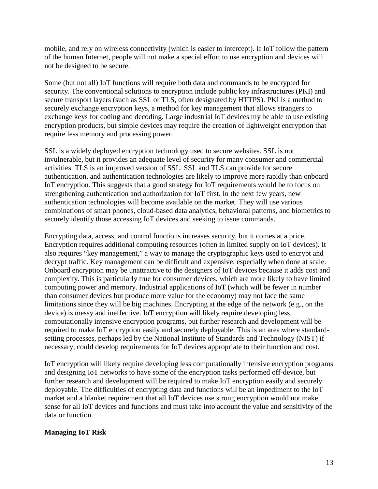mobile, and rely on wireless connectivity (which is easier to intercept). If IoT follow the pattern of the human Internet, people will not make a special effort to use encryption and devices will not be designed to be secure.

Some (but not all) IoT functions will require both data and commands to be encrypted for security. The conventional solutions to encryption include public key infrastructures (PKI) and secure transport layers (such as SSL or TLS, often designated by HTTPS). PKI is a method to securely exchange encryption keys, a method for key management that allows strangers to exchange keys for coding and decoding. Large industrial IoT devices my be able to use existing encryption products, but simple devices may require the creation of lightweight encryption that require less memory and processing power.

SSL is a widely deployed encryption technology used to secure websites. SSL is not invulnerable, but it provides an adequate level of security for many consumer and commercial activities. TLS is an improved version of SSL. SSL and TLS can provide for secure authentication, and authentication technologies are likely to improve more rapidly than onboard IoT encryption. This suggests that a good strategy for IoT requirements would be to focus on strengthening authentication and authorization for IoT first. In the next few years, new authentication technologies will become available on the market. They will use various combinations of smart phones, cloud-based data analytics, behavioral patterns, and biometrics to securely identify those accessing IoT devices and seeking to issue commands.

Encrypting data, access, and control functions increases security, but it comes at a price. Encryption requires additional computing resources (often in limited supply on IoT devices). It also requires "key management," a way to manage the cryptographic keys used to encrypt and decrypt traffic. Key management can be difficult and expensive, especially when done at scale. Onboard encryption may be unattractive to the designers of IoT devices because it adds cost and complexity. This is particularly true for consumer devices, which are more likely to have limited computing power and memory. Industrial applications of IoT (which will be fewer in number than consumer devices but produce more value for the economy) may not face the same limitations since they will be big machines. Encrypting at the edge of the network (e.g., on the device) is messy and ineffective. IoT encryption will likely require developing less computationally intensive encryption programs, but further research and development will be required to make IoT encryption easily and securely deployable. This is an area where standardsetting processes, perhaps led by the National Institute of Standards and Technology (NIST) if necessary, could develop requirements for IoT devices appropriate to their function and cost.

IoT encryption will likely require developing less computationally intensive encryption programs and designing IoT networks to have some of the encryption tasks performed off-device, but further research and development will be required to make IoT encryption easily and securely deployable. The difficulties of encrypting data and functions will be an impediment to the IoT market and a blanket requirement that all IoT devices use strong encryption would not make sense for all IoT devices and functions and must take into account the value and sensitivity of the data or function.

# **Managing IoT Risk**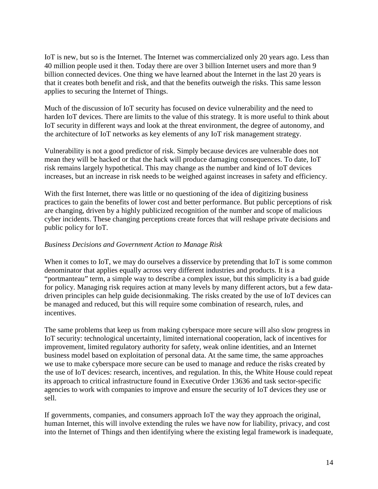IoT is new, but so is the Internet. The Internet was commercialized only 20 years ago. Less than 40 million people used it then. Today there are over 3 billion Internet users and more than 9 billion connected devices. One thing we have learned about the Internet in the last 20 years is that it creates both benefit and risk, and that the benefits outweigh the risks. This same lesson applies to securing the Internet of Things.

Much of the discussion of IoT security has focused on device vulnerability and the need to harden IoT devices. There are limits to the value of this strategy. It is more useful to think about IoT security in different ways and look at the threat environment, the degree of autonomy, and the architecture of IoT networks as key elements of any IoT risk management strategy.

Vulnerability is not a good predictor of risk. Simply because devices are vulnerable does not mean they will be hacked or that the hack will produce damaging consequences. To date, IoT risk remains largely hypothetical. This may change as the number and kind of IoT devices increases, but an increase in risk needs to be weighed against increases in safety and efficiency.

With the first Internet, there was little or no questioning of the idea of digitizing business practices to gain the benefits of lower cost and better performance. But public perceptions of risk are changing, driven by a highly publicized recognition of the number and scope of malicious cyber incidents. These changing perceptions create forces that will reshape private decisions and public policy for IoT.

#### *Business Decisions and Government Action to Manage Risk*

When it comes to IoT, we may do ourselves a disservice by pretending that IoT is some common denominator that applies equally across very different industries and products. It is a "portmanteau" term, a simple way to describe a complex issue, but this simplicity is a bad guide for policy. Managing risk requires action at many levels by many different actors, but a few datadriven principles can help guide decisionmaking. The risks created by the use of IoT devices can be managed and reduced, but this will require some combination of research, rules, and incentives.

The same problems that keep us from making cyberspace more secure will also slow progress in IoT security: technological uncertainty, limited international cooperation, lack of incentives for improvement, limited regulatory authority for safety, weak online identities, and an Internet business model based on exploitation of personal data. At the same time, the same approaches we use to make cyberspace more secure can be used to manage and reduce the risks created by the use of IoT devices: research, incentives, and regulation. In this, the White House could repeat its approach to critical infrastructure found in Executive Order 13636 and task sector-specific agencies to work with companies to improve and ensure the security of IoT devices they use or sell.

If governments, companies, and consumers approach IoT the way they approach the original, human Internet, this will involve extending the rules we have now for liability, privacy, and cost into the Internet of Things and then identifying where the existing legal framework is inadequate,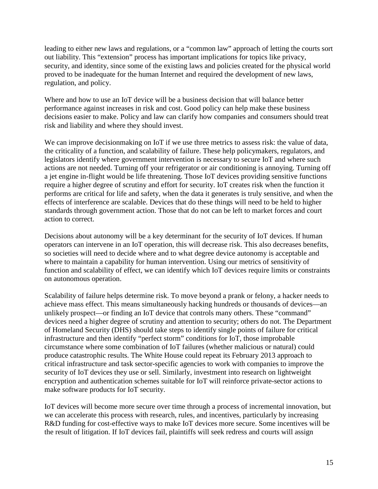leading to either new laws and regulations, or a "common law" approach of letting the courts sort out liability. This "extension" process has important implications for topics like privacy, security, and identity, since some of the existing laws and policies created for the physical world proved to be inadequate for the human Internet and required the development of new laws, regulation, and policy.

Where and how to use an IoT device will be a business decision that will balance better performance against increases in risk and cost. Good policy can help make these business decisions easier to make. Policy and law can clarify how companies and consumers should treat risk and liability and where they should invest.

We can improve decisionmaking on IoT if we use three metrics to assess risk: the value of data, the criticality of a function, and scalability of failure. These help policymakers, regulators, and legislators identify where government intervention is necessary to secure IoT and where such actions are not needed. Turning off your refrigerator or air conditioning is annoying. Turning off a jet engine in-flight would be life threatening. Those IoT devices providing sensitive functions require a higher degree of scrutiny and effort for security. IoT creates risk when the function it performs are critical for life and safety, when the data it generates is truly sensitive, and when the effects of interference are scalable. Devices that do these things will need to be held to higher standards through government action. Those that do not can be left to market forces and court action to correct.

Decisions about autonomy will be a key determinant for the security of IoT devices. If human operators can intervene in an IoT operation, this will decrease risk. This also decreases benefits, so societies will need to decide where and to what degree device autonomy is acceptable and where to maintain a capability for human intervention. Using our metrics of sensitivity of function and scalability of effect, we can identify which IoT devices require limits or constraints on autonomous operation.

Scalability of failure helps determine risk. To move beyond a prank or felony, a hacker needs to achieve mass effect. This means simultaneously hacking hundreds or thousands of devices—an unlikely prospect—or finding an IoT device that controls many others. These "command" devices need a higher degree of scrutiny and attention to security; others do not. The Department of Homeland Security (DHS) should take steps to identify single points of failure for critical infrastructure and then identify "perfect storm" conditions for IoT, those improbable circumstance where some combination of IoT failures (whether malicious or natural) could produce catastrophic results. The White House could repeat its February 2013 approach to critical infrastructure and task sector-specific agencies to work with companies to improve the security of IoT devices they use or sell. Similarly, investment into research on lightweight encryption and authentication schemes suitable for IoT will reinforce private-sector actions to make software products for IoT security.

IoT devices will become more secure over time through a process of incremental innovation, but we can accelerate this process with research, rules, and incentives, particularly by increasing R&D funding for cost-effective ways to make IoT devices more secure. Some incentives will be the result of litigation. If IoT devices fail, plaintiffs will seek redress and courts will assign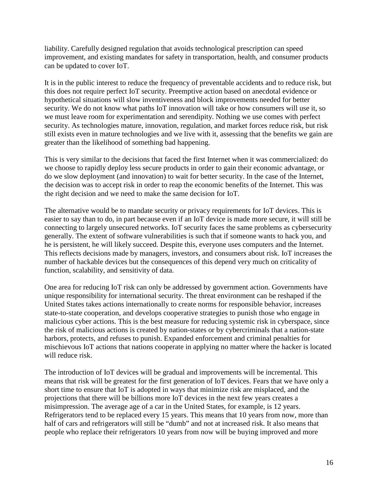liability. Carefully designed regulation that avoids technological prescription can speed improvement, and existing mandates for safety in transportation, health, and consumer products can be updated to cover IoT.

It is in the public interest to reduce the frequency of preventable accidents and to reduce risk, but this does not require perfect IoT security. Preemptive action based on anecdotal evidence or hypothetical situations will slow inventiveness and block improvements needed for better security. We do not know what paths IoT innovation will take or how consumers will use it, so we must leave room for experimentation and serendipity. Nothing we use comes with perfect security. As technologies mature, innovation, regulation, and market forces reduce risk, but risk still exists even in mature technologies and we live with it, assessing that the benefits we gain are greater than the likelihood of something bad happening.

This is very similar to the decisions that faced the first Internet when it was commercialized: do we choose to rapidly deploy less secure products in order to gain their economic advantage, or do we slow deployment (and innovation) to wait for better security. In the case of the Internet, the decision was to accept risk in order to reap the economic benefits of the Internet. This was the right decision and we need to make the same decision for IoT.

The alternative would be to mandate security or privacy requirements for IoT devices. This is easier to say than to do, in part because even if an IoT device is made more secure, it will still be connecting to largely unsecured networks. IoT security faces the same problems as cybersecurity generally. The extent of software vulnerabilities is such that if someone wants to hack you, and he is persistent, he will likely succeed. Despite this, everyone uses computers and the Internet. This reflects decisions made by managers, investors, and consumers about risk. IoT increases the number of hackable devices but the consequences of this depend very much on criticality of function, scalability, and sensitivity of data.

One area for reducing IoT risk can only be addressed by government action. Governments have unique responsibility for international security. The threat environment can be reshaped if the United States takes actions internationally to create norms for responsible behavior, increases state-to-state cooperation, and develops cooperative strategies to punish those who engage in malicious cyber actions. This is the best measure for reducing systemic risk in cyberspace, since the risk of malicious actions is created by nation-states or by cybercriminals that a nation-state harbors, protects, and refuses to punish. Expanded enforcement and criminal penalties for mischievous IoT actions that nations cooperate in applying no matter where the hacker is located will reduce risk.

The introduction of IoT devices will be gradual and improvements will be incremental. This means that risk will be greatest for the first generation of IoT devices. Fears that we have only a short time to ensure that IoT is adopted in ways that minimize risk are misplaced, and the projections that there will be billions more IoT devices in the next few years creates a misimpression. The average age of a car in the United States, for example, is 12 years. Refrigerators tend to be replaced every 15 years. This means that 10 years from now, more than half of cars and refrigerators will still be "dumb" and not at increased risk. It also means that people who replace their refrigerators 10 years from now will be buying improved and more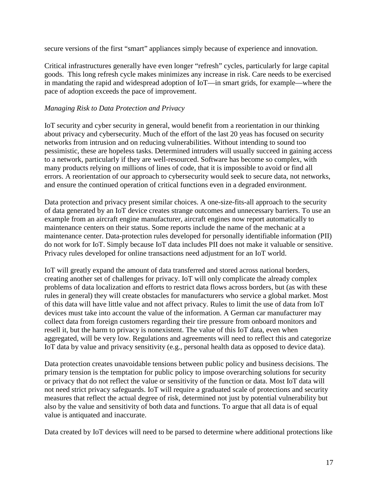secure versions of the first "smart" appliances simply because of experience and innovation.

Critical infrastructures generally have even longer "refresh" cycles, particularly for large capital goods. This long refresh cycle makes minimizes any increase in risk. Care needs to be exercised in mandating the rapid and widespread adoption of IoT—in smart grids, for example—where the pace of adoption exceeds the pace of improvement.

#### *Managing Risk to Data Protection and Privacy*

IoT security and cyber security in general, would benefit from a reorientation in our thinking about privacy and cybersecurity. Much of the effort of the last 20 yeas has focused on security networks from intrusion and on reducing vulnerabilities. Without intending to sound too pessimistic, these are hopeless tasks. Determined intruders will usually succeed in gaining access to a network, particularly if they are well-resourced. Software has become so complex, with many products relying on millions of lines of code, that it is impossible to avoid or find all errors. A reorientation of our approach to cybersecurity would seek to secure data, not networks, and ensure the continued operation of critical functions even in a degraded environment.

Data protection and privacy present similar choices. A one-size-fits-all approach to the security of data generated by an IoT device creates strange outcomes and unnecessary barriers. To use an example from an aircraft engine manufacturer, aircraft engines now report automatically to maintenance centers on their status. Some reports include the name of the mechanic at a maintenance center. Data-protection rules developed for personally identifiable information (PII) do not work for IoT. Simply because IoT data includes PII does not make it valuable or sensitive. Privacy rules developed for online transactions need adjustment for an IoT world.

IoT will greatly expand the amount of data transferred and stored across national borders, creating another set of challenges for privacy. IoT will only complicate the already complex problems of data localization and efforts to restrict data flows across borders, but (as with these rules in general) they will create obstacles for manufacturers who service a global market. Most of this data will have little value and not affect privacy. Rules to limit the use of data from IoT devices must take into account the value of the information. A German car manufacturer may collect data from foreign customers regarding their tire pressure from onboard monitors and resell it, but the harm to privacy is nonexistent. The value of this IoT data, even when aggregated, will be very low. Regulations and agreements will need to reflect this and categorize IoT data by value and privacy sensitivity (e.g., personal health data as opposed to device data).

Data protection creates unavoidable tensions between public policy and business decisions. The primary tension is the temptation for public policy to impose overarching solutions for security or privacy that do not reflect the value or sensitivity of the function or data. Most IoT data will not need strict privacy safeguards. IoT will require a graduated scale of protections and security measures that reflect the actual degree of risk, determined not just by potential vulnerability but also by the value and sensitivity of both data and functions. To argue that all data is of equal value is antiquated and inaccurate.

Data created by IoT devices will need to be parsed to determine where additional protections like